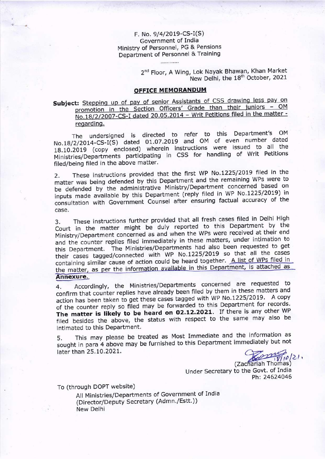F. No. 9/4/2019-CS-I(S) Government of India Ministry of Personnel, PG & Pensions Department of Personnel & Training

. . . . . . . . . . . .

2<sup>nd</sup> Floor, A Wing, Lok Nayak Bhawan, Khan Market New Delhi, the 18<sup>th</sup> October, 2021

### OFFICE MEMORANDUM

Subject: Stepping up of pay of senior Assistants of CSS drawing less pay on<br>promotion in the Section Officers' Grade than their juniors - OM No.18/2/2007-CS-I dated 20.05.2014 - Writ Petitions filed in the matter regarding.

The undersigned is directed to refer to this Department's oM  $No.18/2/2014$ -CS-I(S) dated 01.07.2019 and OM of even number dated 18.10.2019 (copy'enclosed) wherein instructions were issued to all the Ministries/Departments participating in css for handling of writ Petitions filed/being filed in the above matter.

2. These instructions provided that the first wP No.L225/2019 filed in the matter was being defended by this Department and the remaining WPs were to be defended by the administrative Ministry/Oepartment concerned based on inputs made available by this Department (reply filed in WP No.1225/2019) in consultation with Government counsel after ensuring factual accuracy of the case.

3. These instructions further provided that all fresh cases filed in Delhi High court in the matter might be duly reported to this Department by the Ministry/Department concerned as and when the WPs were received at their end and the counter replies filed immediately in these matters, under intimation to this Department. The Ministries/Departments had also been requested to get this Department. The Ministries/Departments had also been requested to get<br>their cases tagged/connected with WP No.1225/2019 so that all the cases containing similar cause of action could be heard together. A list of WPs filed in the matter, as per the information available in this Department, is attached as Annexure.

4. Accordingly, the Ministries/Departments concerned are requested to confirm that counter replies have already been filed by them in these matters and action has been taken to get these cases tagged with WP No.1225/2019. A copy of the counter reply so filed may be forwarded to this Department for records. The matter is likely to be heard on 02.12.2021. If there is any other WP filed besides the above, the status with respect to the same may also be intimated to this Department.

later than 25.10.2021. 5. This may please be treated as Most Immediate and the information as sought in para 4 above may be furnished to this Department immediately but not

 $(2ackariant Thomas)$ 

Under Secretary to the Govt. of India Ph:24624046

To (through DOPT website)

All Ministries/Departments of Government of India (Director/Deputy Secretary (Admn./Estt.)) New Delhi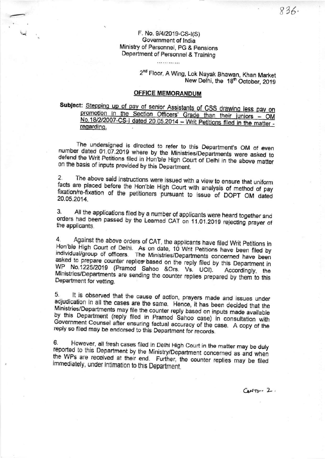#### F. No. 9/4/2019-CS-I(S) Government of India Ministry of Personnel. PG & Pensions Department of Personnel & Training

. . . . . . . . . . . . .

2<sup>nd</sup> Floor, A Wing, Lok Nayak Bhawan, Khan Market New Delhi, the 18th October, 2019

#### **OFFICE MEMORANDUM**

Subject: Stepping up of pay of senior Assistants of CSS drawing less pay on promotion in the Section Officers' Grade than their juniors - OM No.18/2/2007-CS-I dated 20.05.2014 - Writ Petitions filed in the matter regarding.

The undersigned is directed to refer to this Department's OM of even number dated 01.07.2019 where by the Ministries/Departments were asked to defend the Writ Petitions filed in Hon'ble High Court of Delhi in the above matter on the basis of inputs provided by this Department.

The above said instructions were issued with a view to ensure that uniform  $2.$ facts are placed before the Hon'ble High Court with analysis of method of pay fixation/re-fixation of the petitioners pursuant to issue of DOPT OM dated 20.05.2014.

All the applications filed by a number of applicants were heard together and 3. orders had been passed by the Learned CAT on 11.01.2019 rejecting prayer of the applicants.

Against the above orders of CAT, the applicants have filed Writ Petitions in 4. Hon'ble High Court of Delhi. As on date, 10 Writ Petitions have been filed by individual/group of officers. The Ministries/Departments concerned have been asked to prepare counter replies based on the reply filed by this Department in WP No.1225/2019 (Pramod Sahoo &Ors. Vs. UOI). Accordingly, the Ministries/Departments are sending the counter replies prepared by them to this Department for vetting.

It is observed that the cause of action, prayers made and issues under 5. adjudication in all the cases are the same. Hence, it has been decided that the Ministries/Departments may file the counter reply based on inputs made available by this Department (reply filed in Pramod Sahoo case) in consultation with Government Counsel after ensuring factual accuracy of the case. A copy of the reply so filed may be endorsed to this Department for records.

However, all fresh cases filed in Delhi High Court in the matter may be duly 6. reported to this Department by the Ministry/Department concerned as and when the WPs are received at their end. Further, the counter replies may be filed immediately, under intimation to this Department.

 $C_{\text{A}} + T_{\text{D}} - 2$ .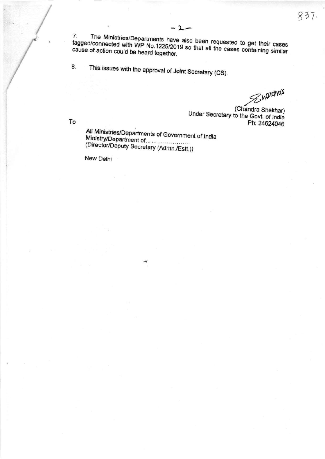The Ministries/Departments have also been requested to get their cases 7. tagged/connected with WP No.1225/2019 so that all the cases containing similar cause of action could be heard together.

 $-2-$ 

This issues with the approval of Joint Secretary (CS). 8.

Sharchas

(Chandra Shekhar) Under Secretary to the Govt. of India Ph: 24624046

To

All Ministries/Departments of Government of India (Director/Deputy Secretary (Admn./Estt.))

New Delhi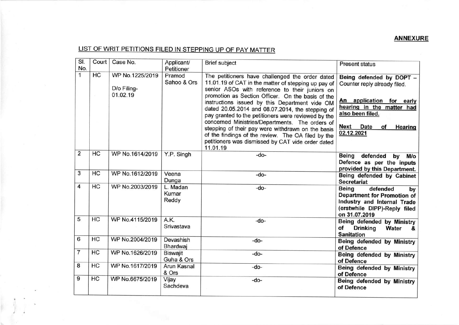## **ANNEXURE**

# LIST OF WRIT PETITIONS FILED IN STEPPING UP OF PAY MATTER

| SI.            | Court | Case No.                                   | Applicant/                    | <b>Brief subject</b>                                                                                                                                                                                                                                                                                                                                                                                                                                                                                                                                                                                      | <b>Present status</b>                                                                                                                                                                                     |
|----------------|-------|--------------------------------------------|-------------------------------|-----------------------------------------------------------------------------------------------------------------------------------------------------------------------------------------------------------------------------------------------------------------------------------------------------------------------------------------------------------------------------------------------------------------------------------------------------------------------------------------------------------------------------------------------------------------------------------------------------------|-----------------------------------------------------------------------------------------------------------------------------------------------------------------------------------------------------------|
| No.            |       |                                            | Petitioner                    |                                                                                                                                                                                                                                                                                                                                                                                                                                                                                                                                                                                                           |                                                                                                                                                                                                           |
| $\mathbf{1}$   | HC    | WP No.1225/2019<br>D/o Filing-<br>01.02.19 | Pramod<br>Sahoo & Ors         | The petitioners have challenged the order dated<br>11.01.19 of CAT in the matter of stepping up pay of<br>senior ASOs with reference to their juniors on<br>promotion as Section Officer. On the basis of the<br>instructions issued by this Department vide OM<br>dated 20.05.2014 and 08.07.2014, the stepping of<br>pay granted to the petitioners were reviewed by the<br>concerned Ministries/Departments. The orders of<br>stepping of their pay were withdrawn on the basis<br>of the findings of the review. The OA filed by the<br>petitioners was dismissed by CAT vide order dated<br>11.01.19 | Being defended by DOPT -<br>Counter reply already filed.<br>An application for early<br>hearing in the matter had<br>also been filed.<br><b>Next</b><br><b>Date</b><br>of<br><b>Hearing</b><br>02.12.2021 |
| $\overline{2}$ | HC    | WP No.1614/2019                            | Y.P. Singh                    | -do-                                                                                                                                                                                                                                                                                                                                                                                                                                                                                                                                                                                                      | Being<br>defended<br>$M/\circ$<br>by<br>Defence as per the inputs<br>provided by this Department.                                                                                                         |
| 3              | HC    | WP No.1612/2019                            | Veena<br>Dunga                | $-do-$                                                                                                                                                                                                                                                                                                                                                                                                                                                                                                                                                                                                    | Being defended by Cabinet<br><b>Secretariat</b>                                                                                                                                                           |
| 4              | HC    | WP No.2003/2019                            | L. Madan<br>Kumar<br>Reddy    | $-do-$                                                                                                                                                                                                                                                                                                                                                                                                                                                                                                                                                                                                    | <b>Being</b><br>defended<br>by<br><b>Department for Promotion of</b><br>Industry and Internal Trade<br>(erstwhile DIPP)-Reply filed<br>on 31.07.2019                                                      |
| 5              | HC    | WP No.4115/2019                            | A.K.<br>Srivastava            | $-do-$                                                                                                                                                                                                                                                                                                                                                                                                                                                                                                                                                                                                    | Being defended by Ministry<br>οf<br><b>Drinking</b><br><b>Water</b><br>8.<br><b>Sanitation</b>                                                                                                            |
| 6              | HC    | WP No.2004/2019                            | Devashish<br>Bhardwaj         | -do-                                                                                                                                                                                                                                                                                                                                                                                                                                                                                                                                                                                                      | Being defended by Ministry<br>of Defence                                                                                                                                                                  |
| $\overline{7}$ | HC    | WP No.1626/2019                            | <b>Biswajit</b><br>Guha & Ors | -do-                                                                                                                                                                                                                                                                                                                                                                                                                                                                                                                                                                                                      | Being defended by Ministry<br>of Defence                                                                                                                                                                  |
| 8              | HC    | WP No.1617/2019                            | Arun Kasnal<br>& Ors          | -do-                                                                                                                                                                                                                                                                                                                                                                                                                                                                                                                                                                                                      | Being defended by Ministry<br>of Defence                                                                                                                                                                  |
| 9              | HC    | WP No.6675/2019                            | Vijay<br>Sachdeva             | -do-                                                                                                                                                                                                                                                                                                                                                                                                                                                                                                                                                                                                      | Being defended by Ministry<br>of Defence                                                                                                                                                                  |